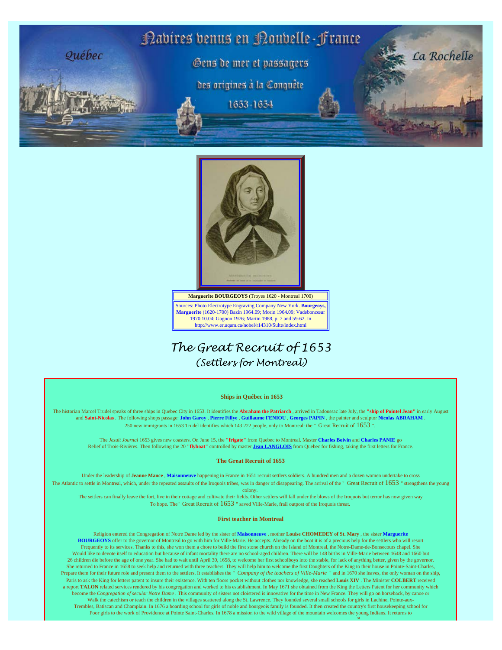



Sources: Photo Electrotype Engraving Company New York. **Bourgeoys, Marguerite** (1620-1700) Bazin 1964.09; Morin 1964.09; Vadeboncœur 1970.10.04; Gagnon 1976; Martin 1988, p. 7 and 59-62. In http://www.er.uqam.ca/nobel/r14310/Sulte/index.html

# *The Great Recruit of 1653 (Settlers for Montreal)*

### **Ships in Québec in 1653**

The historian Marcel Trudel speaks of three ships in Quebec City in 1653. It identifies the **Abraham the Patriarch** , arrived in Tadoussac late July, the **"ship of Pointel Jean"** in early August and **Saint-Nicolas** . The following shops passage: **John Garoy** , **Pierre Fillye** , **Guillaume FENIOU** , **Georges PAPIN** , the painter and sculptor **Nicolas ABRAHAM** . 250 new immigrants in 1653 Trudel identifies which 143 222 people, only to Montreal: the " Great Recruit of 1653 ".

The *Jesuit Journal* 1653 gives new coasters. On June 15, the **"frigate"** from Quebec to Montreal. Master **Charles Boivin** and **Charles PANIE** go Relief of Trois-Rivières. Then following the 20 **"flyboat"** controlled by master **[Jean LANGLOIS](http://naviresnouvellefrance.net/html/vaisseaux2/gensdemer/gensdemerLamuLar.html#langloisjean1)** from Quebec for fishing, taking the first letters for France.

### **The Great Recruit of 1653**

Under the leadership of **Jeanne Mance** , **Maisonneuve** happening in France in 1651 recruit settlers soldiers. A hundred men and a dozen women undertake to cross The Atlantic to settle in Montreal, which, under the repeated assaults of the Iroquois tribes, was in danger of disappearing. The arrival of the " Great Recruit of  $1653$  " strengthens the young

colony.

The settlers can finally leave the fort, live in their cottage and cultivate their fields. Other settlers will fall under the blows of the Iroquois but terror has now given way To hope. The" Great Recruit of 1653 " saved Ville-Marie, frail outpost of the Iroquois threat.

### **First teacher in Montreal**

Religion entered the Congregation of Notre Dame led by the sister of **Maisonneuve** , mother **Louise CHOMEDEY of St. Mary** , the sister **Marguerite BOURGEOYS** offer to the governor of Montreal to go with him for Ville-Marie. He accepts. Already on the boat it is of a precious help for the settlers who will resort Frequently to its services. Thanks to this, she won them a chore to build the first stone church on the Island of Montreal, the Notre-Dame-de-Bonsecours chapel. She Would like to devote itself to education but because of infant mortality there are no school-aged children. There will be 148 births in Ville-Marie between 1648 and 1660 but 26 children die before the age of one year. She had to wait until April 30, 1658, to welcome her first schoolboys into the stable, for lack of anything better, given by the governor. She returned to France in 1658 to seek help and returned with three teachers. They will help him to welcome the first Daughters of the King to their house in Pointe-Saint-Charles, Prepare them for their future role and present them to the settlers. It establishes the " *Company of the teachers of Ville-Marie* " and in 1670 she leaves, the only woman on the ship, Paris to ask the King for letters patent to insure their existence. With ten floors pocket without clothes nor knowledge, she reached **Louis XIV** . The Minister **COLBERT** received a report TALON related services rendered by his congregation and worked to his establishment. In May 1671 she obtained from the King the Letters Patent for her community which become the *Congregation of secular Notre Dame* . This community of sisters not cloistered is innovative for the time in New France. They will go on horseback, by canoe or Walk the catechism or teach the children in the villages scattered along the St. Lawrence. They founded several small schools for girls in Lachine, Pointe-aux-Trembles, Batiscan and Champlain. In 1676 a boarding school for girls of noble and bourgeois family is founded. It then created the country's first housekeeping school for Poor girls to the work of Providence at Pointe Saint-Charles. In 1678 a mission to the wild village of the mountain welcomes the young Indians. It returns to

st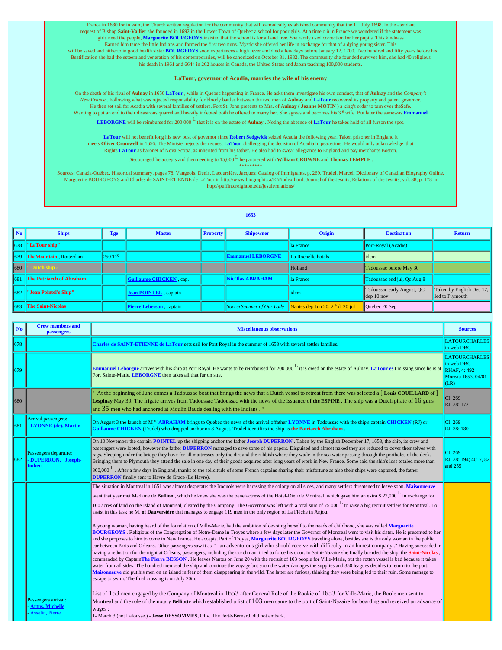France in 1680 for in vain, the Church written regulation for the community that will canonically established community that the 1 July 1698. In the atendant request of Bishop **Saint-Vallier** she founded in 1692 in the Lower Town of Quebec a school for poor girls. At a time o ù in France we wondered if the statement was girls need the people, **Marguerite BOURGEOYS** insisted that the school is for all and free. She rarely used correction for her pupils. This kindness Earned him tame the little Indians and formed the first two nuns. Mystic she offered her life in exchange for that of a dying young sister. This will be saved and hitherto in good health sister **BOURGEOYS** soon experiences a high fever and died a few days before January 12, 1700. Two hundred and fifty years before his Beatification she had the esteem and veneration of his contemporaries, will be canonized on October 31, 1982. The community she founded survives him, she had 40 religious his death in 1961 and 6644 in 262 houses in Canada, the United States and Japan teaching 100,000 students.

### **LaTour, governor of Acadia, marries the wife of his enemy**

On the death of his rival of **Aulnay** in 1650 **LaTour** , while in Quebec happening in France. He asks them investigate his own conduct, that of **Aulnay** and the *Company's New France* . Following what was rejected responsibility for bloody battles between the two men of **Aulnay** and **LaTour** recovered its property and patent governor. He then set sail for Acadia with several families of settlers. Fort St. John presents to Mrs. of **Aulnay** ( **Jeanne MOTIN** ) a king's order to turn over theSafe. Wanting to put an end to their disastrous quarrel and heavily indebted both he offered to marry her. She agrees and becomes his 3<sup>e</sup> wife. But later the samewas *Emmanuel* 

**LEBORGNE** will be reimbursed for 200 000 <sup>L</sup> that it is on the estate of **Aulnay** . Noting the absence of **LaTour** he takes hold of all furson the spot.

**LaTour** will not benefit long his new post of governor since **Robert Sedgwick** seized Acadia the following year. Taken prisoner in England it meets Oliver Cromwell in 1656. The Minister rejects the request LaTour challenging the decision of Acadia in peacetime. He would only acknowledge that<br>Rights LaTour as baronet of Nova Scotia, as inherited from his father.

Discouraged he accepts and then needing to 15,000 L he partnered with **William CROWNE** and **Thomas TEMPLE** .

\*\*\*\*\*\*\*

Sources: Canada-Québec, Historical summary, pages 78. Vaugeois, Denis. Lacoursière, Jacques; Catalog of Immigrants, p. 269. Trudel, Marcel; Dictionary of Canadian Biography Online, Marguerite BOURGEOYS and Charles de SAINT-ÉTIENNE de LaTour in http://www.biographi.ca/EN/index.html; Journal of the Jesuits, Relations of the Jesuits, vol. 38, p. 178 in http://puffin.creighton.edu/jesuit/relations/

#### **1653**

| No                  | <b>Ships</b>                    | Tge               | <b>Master</b>                    | <b>Property</b> | <b>Shipowner</b>         | Origin                                                                            | <b>Destination</b>                          | <b>Return</b>                               |
|---------------------|---------------------------------|-------------------|----------------------------------|-----------------|--------------------------|-----------------------------------------------------------------------------------|---------------------------------------------|---------------------------------------------|
| 678                 | "LaTour ship"                   |                   |                                  |                 |                          | lla France                                                                        | Port-Royal (Acadie)                         |                                             |
|                     | 679   TheMountain, Rotterdam    | 250T <sup>x</sup> |                                  |                 | <b>Emmanuel LEBORGNE</b> | La Rochelle hotels                                                                | lidem                                       |                                             |
| $\vert$ 680 $\vert$ | " Dutch ship »                  |                   |                                  |                 |                          | Holland                                                                           | Tadoussac before May 30                     |                                             |
| 1681                | <b>The Patriarch of Abraham</b> |                   | <b>Guillaume CHICKEN</b> , cap.  |                 | NicOlas ABRAHAM          | lla France                                                                        | Tadoussac end jul, Qc Aug 8                 |                                             |
| 1682                | "Jean Pointel's Ship"           |                   | Jean POINTEL, captain            |                 |                          | 1dem                                                                              | Tadoussac early August, QC<br>$\log 10$ nov | Taken by English Dec 17,<br>led to Plymouth |
| 1683                | <b>The Saint-Nicolas</b>        |                   | <b>Pierre Lebesson</b> , captain |                 |                          | <i>SoccerSummer of Our Lady</i> <b>Nantes dep Jun 20, 2<sup>e</sup> d. 20 jul</b> | Quebec 20 Sep                               |                                             |

| N <sub>o</sub> | <b>Crew members and</b><br>passengers                                   | <b>Miscellaneous observations</b>                                                                                                                                                                                                                                                                                                                                                                                                                                                                                                                                                                                                                                                                                                                                                                                                                                                                                                                                                                                                                                                                                                                                                                                                                                                                                                                                                                                                                                                                                                                                                                                                                                                                                                                                                                                                                                                                                                                                                                                                                                                                                                                                                                                                                                                                                                                                                                                                                                                                                         |                                                                                         |
|----------------|-------------------------------------------------------------------------|---------------------------------------------------------------------------------------------------------------------------------------------------------------------------------------------------------------------------------------------------------------------------------------------------------------------------------------------------------------------------------------------------------------------------------------------------------------------------------------------------------------------------------------------------------------------------------------------------------------------------------------------------------------------------------------------------------------------------------------------------------------------------------------------------------------------------------------------------------------------------------------------------------------------------------------------------------------------------------------------------------------------------------------------------------------------------------------------------------------------------------------------------------------------------------------------------------------------------------------------------------------------------------------------------------------------------------------------------------------------------------------------------------------------------------------------------------------------------------------------------------------------------------------------------------------------------------------------------------------------------------------------------------------------------------------------------------------------------------------------------------------------------------------------------------------------------------------------------------------------------------------------------------------------------------------------------------------------------------------------------------------------------------------------------------------------------------------------------------------------------------------------------------------------------------------------------------------------------------------------------------------------------------------------------------------------------------------------------------------------------------------------------------------------------------------------------------------------------------------------------------------------------|-----------------------------------------------------------------------------------------|
| 678            |                                                                         | Charles de SAINT-ETIENNE de LaTour sets sail for Port Royal in the summer of 1653 with several settler families.                                                                                                                                                                                                                                                                                                                                                                                                                                                                                                                                                                                                                                                                                                                                                                                                                                                                                                                                                                                                                                                                                                                                                                                                                                                                                                                                                                                                                                                                                                                                                                                                                                                                                                                                                                                                                                                                                                                                                                                                                                                                                                                                                                                                                                                                                                                                                                                                          | <b>LATOURCHARLES</b><br>in web DBC                                                      |
| 679            |                                                                         | <b>Emmanuel Leborgne arrives with his ship at Port Royal. He wants to be reimbursed for 200 000 <math>\frac{1}{x}</math> it is owed on the estate of Aulnay. LaTour est missing since he is at</b><br>Fort Sainte-Marie, LEBORGNE then takes all that fur on site.                                                                                                                                                                                                                                                                                                                                                                                                                                                                                                                                                                                                                                                                                                                                                                                                                                                                                                                                                                                                                                                                                                                                                                                                                                                                                                                                                                                                                                                                                                                                                                                                                                                                                                                                                                                                                                                                                                                                                                                                                                                                                                                                                                                                                                                        | <b>LATOURCHARLES</b><br>in web DBC<br><b>RHAF. 4: 492</b><br>Moreau 1653, 04/01<br>(LR) |
| 680            |                                                                         | At the beginning of June comes a Tadoussac boat that brings the news that a Dutch vessel to retreat from there was selected a [Louis COUILLARD of]<br><b>Lespinay</b> May 30. The frigate arrives from Tadoussac Tadoussac with the news of the issuance of the <b>ESPINE</b> . The ship was a Dutch pirate of $16$ guns<br>and 35 men who had anchored at Moulin Baude dealing with the Indians. "                                                                                                                                                                                                                                                                                                                                                                                                                                                                                                                                                                                                                                                                                                                                                                                                                                                                                                                                                                                                                                                                                                                                                                                                                                                                                                                                                                                                                                                                                                                                                                                                                                                                                                                                                                                                                                                                                                                                                                                                                                                                                                                       | CI: 269<br>RJ, 38: 172                                                                  |
| 681            | Arrival passengers:<br><b>LYONNE</b> (de), Martin                       | On August 3 the launch of M <sup>re</sup> ABRAHAM brings to Quebec the news of the arrival offather LYONNE in Tadoussac with the ship's captain CHICKEN (RJ) or<br>Guillaume CHICKEN (Trudel) who dropped anchor on 8 August. Trudel identifies the ship as the Patriarch Abraham                                                                                                                                                                                                                                                                                                                                                                                                                                                                                                                                                                                                                                                                                                                                                                                                                                                                                                                                                                                                                                                                                                                                                                                                                                                                                                                                                                                                                                                                                                                                                                                                                                                                                                                                                                                                                                                                                                                                                                                                                                                                                                                                                                                                                                         | CI: 269<br>RJ. 38: 180                                                                  |
| 682            | Passengers departure:<br><b>DUPERRON.</b> Joseph-<br><b>Imbert</b>      | On 10 November the captain POINTEL up the shipping anchor the father Joseph DUPERRON. Taken by the English December 17, 1653, the ship, its crew and<br>passengers were looted, however the father DUPERRON managed to save some of his papers. Disguised and almost naked they are reduced to cover themselves with<br>rags. Sleeping under the bridge they have for all mattresses only the dirt and the rubbish where they wade in the sea water passing through the portholes of the deck.<br>Bringing them to Plymouth they attend the sale in one day of their goods acquired after long years of work in New France. Some said the ship's loss totaled more than<br>$300,000$ L. After a few days in England, thanks to the solicitude of some French captains sharing their misfortune as also their ships were captured, the father<br><b>DUPERRON</b> finally sent to Havre de Grace (Le Havre).                                                                                                                                                                                                                                                                                                                                                                                                                                                                                                                                                                                                                                                                                                                                                                                                                                                                                                                                                                                                                                                                                                                                                                                                                                                                                                                                                                                                                                                                                                                                                                                                                | CI: 269<br>RJ, 38: 194: 40: 7, 82<br>and 255                                            |
|                | Passengers arrival:<br><b>Artus, Michelle</b><br><b>Asselin, Pierre</b> | The situation in Montreal in 1651 was almost desperate: the Iroquois were harassing the colony on all sides, and many settlers threatened to leave soon. Maisonneuve<br>went that year met Madame de <b>Bullion</b> , which he knew she was the benefactress of the Hotel-Dieu de Montreal, which gave him an extra \$ 22,000 <sup>L</sup> in exchange for<br>100 acres of land on the Island of Montreal, cleared by the Company. The Governor was left with a total sum of 75 000 <sup>L</sup> to raise a big recruit settlers for Montreal. To<br>assist in this task he M. of Dauversière that manages to engage 119 men in the only region of La Flèche in Anjou.<br>A young woman, having heard of the foundation of Ville-Marie, had the ambition of devoting herself to the needs of childhood, she was called Marguerite<br><b>BOURGEOYS</b> . Religious of the Congregation of Notre-Dame in Troyes where a few days later the Governor of Montreal went to visit his sister. He is presented to her<br>and she proposes to him to come to New France. He accepts. Part of Troyes, Marguerite BOURGEOYS traveling alone, besides she is the only woman in the public<br>car between Paris and Orleans. Other passengers saw it as " an adventurous girl who should receive with difficulty in an honest company." Having succeeded in<br>having a reduction for the night at Orleans, passengers, including the coachman, tried to force his door. In Saint-Nazaire she finally boarded the ship, the Saint-Nicolas,<br>commanded by CaptainThe Pierre BESSON. He leaves Nantes on June 20 with the recruit of 103 people for Ville-Marie, but the rotten vessel is bad because it takes<br>water from all sides. The hundred men seal the ship and continue the voyage but soon the water damages the supplies and 350 leagues decides to return to the port.<br>Maisonneuve did put his men on an island in fear of them disappearing in the wild. The latter are furious, thinking they were being led to their ruin. Some manage to<br>escape to swim. The final crossing is on July 20th.<br>List of 153 men engaged by the Company of Montreal in 1653 after General Role of the Rookie of 1653 for Ville-Marie, the Roole men sent to<br>Montreal and the role of the notary Belliotte which established a list of 103 men came to the port of Saint-Nazaire for boarding and received an advance of<br>wages:<br>1- March 3 (not Lafousse.) - Jesse DESSOMMES, Of v. The Ferté-Bernard, did not embark. |                                                                                         |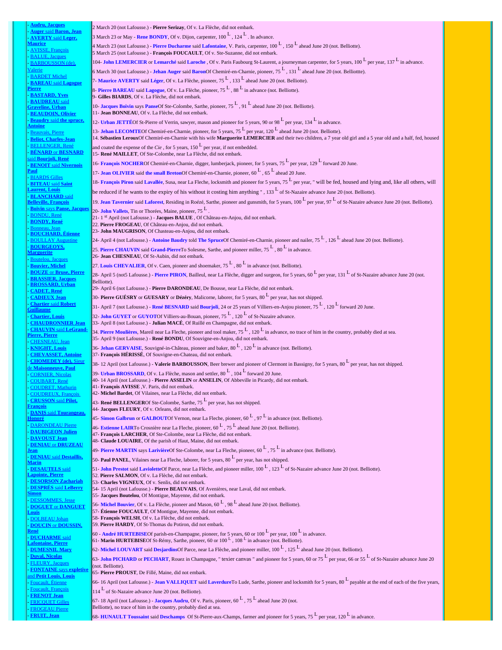| - Audru, Jacques<br><b>Auger said Baron, Jean</b>        | 2 March 20 (not Lafousse.) - Pierre Serizay, Of v. La Flèche, did not embark.                                                                                                                                                                                             |
|----------------------------------------------------------|---------------------------------------------------------------------------------------------------------------------------------------------------------------------------------------------------------------------------------------------------------------------------|
| <b>AVERTY</b> said Leger.                                | 3 March 23 or May - Rene BONDY, Of v. Dijon, carpenter, $100^{\text{L}}$ , $124^{\text{L}}$ . In advance.                                                                                                                                                                 |
| <u>Maurice</u><br>- AVISSE, François                     | 4 March 23 (not Lafousse.) - Pierre Ducharme said Lafontaine, V. Paris, carpenter, $100^{\text{L}}$ , $150^{\text{L}}$ ahead June 20 (not. Belliotte).                                                                                                                    |
| <b>BALUE</b> , Jacques                                   | 5 March 25 (not Lafousse.) - François FOUCAULT, Of v. Ste-Suzanne, did not embark.                                                                                                                                                                                        |
| BARBOUSSON (de),                                         | 104- John LEMERCIER or Lemarché said Laroche, Of v. Paris Faubourg St-Laurent, a journeyman carpenter, for 5 years, $100^{\text{L}}$ per year, $137^{\text{L}}$ in advance.                                                                                               |
| Valerie<br><b>BARDET Michel</b>                          | 6 March 30 (not Lafousse.) - Jehan Auger said BaronOf Chemiré-en-Charnie, pioneer, 75 <sup>L</sup> , 131 <sup>L</sup> ahead June 20 (not. Belliottte).                                                                                                                    |
| <b>BAREAU</b> said Lagogue                               | 7- Maurice AVERTY said Léger, Of v. La Flèche, pioneer, 75 <sup>L</sup> , 133 <sup>L</sup> ahead June 20 (not. Belliotte).                                                                                                                                                |
| <u>Pierre</u><br><b>BASTARD, Yves</b>                    | 8- Pierre BAREAU said Lagogue, Of v. La Flèche, pioneer, $75^{\text{L}}$ , $88^{\text{L}}$ in advance (not. Belliotte).<br>9- Gilles BIARDS, Of v. La Flèche, did not embark.                                                                                             |
| <b>BAUDREAU</b> said                                     | 10- Jacques Boivin says PanseOf Ste-Colombe, Sarthe, pioneer, $75^L$ , $91^L$ ahead June 20 (not. Belliotte).                                                                                                                                                             |
| <u>Fraveline, Urban</u><br><b>BEAUDOIN, Olivier</b>      | 11- Jean BONNEAU, Of v. La Flèche, did not embark.                                                                                                                                                                                                                        |
| <b>Beaudry said the spruce,</b>                          | 12- Urban JETTÉOf St-Pierre of Verrin, sawyer, mason and pioneer for 5 years, 90 or 98 <sup>L</sup> per year, 134 <sup>L</sup> in advance.                                                                                                                                |
| <u> Antoine</u><br>Beauvais, Pierre                      | 13- Jehan LECOMTEOf Chemiré-en-Charnie, pioneer, for 5 years, 75 <sup>L</sup> per year, 120 <sup>L</sup> ahead June 20 (not. Belliotte).                                                                                                                                  |
| <b>Beliot, Charles-Jean</b>                              | 14. Sébastien LerouxOf Chemiré-en-Charnie with his wife Marguerite LEMERCIER and their two children, a 7 year old girl and a 5 year old and a half, fed, housed                                                                                                           |
| <b>BELLENGER, René</b><br><b>BÉNARD or BESNARD</b>       | and coated the expense of the Cie, for 5 years, $150L$ per year, if not embedded.<br>15- René MAILLET, Of Ste-Colombe, near La Flèche, did not embark.                                                                                                                    |
| <u>aid Bourioli, René</u>                                | 16- François NOCHEROf Chemiré-en-Charnie, digger, lumberjack, pioneer, for 5 years, 75 <sup>L</sup> per year, 129 <sup>L</sup> forward 20 June.                                                                                                                           |
| <b>BENOIT</b> said Nivernois                             | 17- Jean OLIVIER said the small BretonOf Chemiré-en-Charnie, pioneer, 60 <sup>L</sup> , 65 <sup>L</sup> ahead 20 June.                                                                                                                                                    |
| <b>BIARDS Gilles</b>                                     | 18- François Piron said Lavallée, Susa, near La Fleche, locksmith and pioneer for 5 years, 75 L per year, " will be fed, housed and lying and, like all others, will                                                                                                      |
| <b>BITEAU</b> said Saint<br><u>aurent, Louis</u>         | be reduced if he wants to the expiry of his without it costing him anything $\cdot$ , 133 $\frac{L}{v}$ of St-Nazaire advance June 20 (not. Belliotte).                                                                                                                   |
| <b>BLANCHARD</b> said                                    | 19. Jean Tavernier said Laforest, Residing in Roézé, Sarthe, pioneer and gunsmith, for 5 years, 100 L per year, 97 L of St-Nazaire advance June 20 (not. Belliotte).                                                                                                      |
| <b>Belleville, Francois</b>                              | 20- John Vallets, Tin or Thorées, Maine, pioneer, 75 <sup>L</sup> .                                                                                                                                                                                                       |
| <b>BONDU</b> . René                                      | 21-1 <sup>st</sup> April (not Lafousse.) - Jacques BALUE, Of Château-en-Anjou, did not embark.                                                                                                                                                                            |
| <b>BONDY, René</b><br>Bonneau, Jean                      | 22. Pierre FROGEAU, Of Château-en-Anjou, did not embark.                                                                                                                                                                                                                  |
| <u> BOUCHARD, Etienne</u>                                | 23- John MAUGRISON, Of Chasteau-en-Anjou, did not embark.<br>24- April 4 (not Lafousse.) - <b>Antoine Baudry told The SpruceOf Chemiré-en-Charnie</b> , pioneer and nailer, 75 $^L$ , 126 $^L$ ahead June 20 (not. Belliotte).                                            |
| <b>BOULLAY Augustine</b><br><b>BOURGEOYS,</b>            | 25. Pierre CHAUVIN said Grand-PierreTo Solesme, Sarthe, and pioneer miller, 75 <sup>L</sup> , 80 <sup>L</sup> in advance.                                                                                                                                                 |
| <u> Aarguerite</u>                                       | 26- Jean CHESNEAU, Of St-Aubin, did not embark.                                                                                                                                                                                                                           |
| <b>Boutelou, Jacques</b><br><b>Bouvier, Michel</b>       | 27. Louis CHEVALIER, Of v. Caen, pioneer and shoemaker, $75^{\text{L}}$ , $80^{\text{L}}$ in advance (not. Belliotte).                                                                                                                                                    |
| <b>BOUZE</b> or <b>Bruse</b> , <b>Pierre</b>             | 28- April 5 (not5 Lafousse.) - Pierre PIRON, Bailleul, near La Flèche, digger and surgeon, for 5 years, 60 P per year, 131 P of St-Nazaire advance June 20 (not.                                                                                                          |
| <b>BRASSIER, Jacques</b><br>BROSSARD, Urban              | Belliotte).                                                                                                                                                                                                                                                               |
| <b>CADET, René</b>                                       | 29- April 6 (not Lafousse.) - Pierre DARONDEAU, De Bousse, near La Flèche, did not embark.                                                                                                                                                                                |
| <b>CADIEUX Jean</b><br><b>Chartier said Robert</b>       | 30- Pierre GUÉSRY or GUESARY or Dézéry, Malicorne, laborer, for 5 years, 80 <sup>L</sup> per year, has not shipped.                                                                                                                                                       |
| <b>Guillaume</b>                                         | 31- April 7 (not Lafousse.) - René BESNARD said Bourjoli, 24 or 25 years of Villiers-en-Anjou pioneer, 75 $^L$ , 120 $^L$ forward 20 June.<br>32- John GUYET or GUYOTOf Villiers-au-Bouan, pioneer, $75^L$ , $120^L$ of St-Nazaire advance.                               |
| <b>Chartier, Louis</b><br><u>CHAUDRONNIER Jean</u>       | 33- April 8 (not Lafousse.) - Julian MACÉ, Of Ruillé en Champagne, did not embark.                                                                                                                                                                                        |
| <b>CHAUVIN</b> said LeGrand-                             | 34. Pierre Moulières, Mareil near La Fleche, pioneer and tool maker, 75 $^L$ , 120 $^L$ in advance, no trace of him in the country, probably died at sea.                                                                                                                 |
| Pierre, Pierre<br><b>CHESNEAU</b> , Jean                 | 35- April 9 (not Lafousse.) - René BONDU, Of Souvigne-en-Anjou, did not embark.                                                                                                                                                                                           |
| <b>KNIGHT, Louis</b>                                     | 36- Jehan GERVAISE, Souvigné-in-Château, pioneer and baker, $80^{\text{L}}$ , $120^{\text{L}}$ in advance (not. Belliotte).                                                                                                                                               |
| <b>CHEVASSET, Antoine</b><br><b>CHOMEDEY</b> (de), Sieur | 37- François HÉRISSÉ, Of Souvigne-en-Chateau, did not embark.                                                                                                                                                                                                             |
| <u>le Maisonneuve, Paul</u>                              | 38-12 April (not Lafousse.) - Valerie BARBOUSSON, Beer brewer and pioneer of Clermont in Bassigny, for 5 years, 80 <sup>L</sup> per year, has not shipped.<br>39- Urban BROSSARD, Of v. La Flèche, mason and settler, 80 <sup>L</sup> , 104 <sup>L</sup> forward 20 June. |
| <b>CORNIER, Nicolas</b><br><b>COUBART, René</b>          | 40-14 April (not Lafousse.) - Pierre ASSELIN or ANSELIN, Of Abbeville in Picardy, did not embark.                                                                                                                                                                         |
| <b>COUDRET, Mathurin</b>                                 | 41- François AVISSE, V. Paris, did not embark.                                                                                                                                                                                                                            |
| <b>COUDREUX, François</b><br><b>CRUSSON</b> said Pilot.  | 42- Michel Bardet, Of Vilaines, near La Flèche, did not embark.                                                                                                                                                                                                           |
| <b>Francois</b>                                          | 43- René BELLENGEROf Ste-Colombe, Sarthe, 75 $^L$ per year, has not shipped.<br>44- Jacques FLEURY, Of v. Orleans, did not embark.                                                                                                                                        |
| <b>DANIS</b> said Tourangeau,<br>Honoré                  | 45- Simon Galbrun or GALBOUTOf Vernon, near La Fleche, pioneer, $60^L$ , $97^L$ in advance (not. Belliotte).                                                                                                                                                              |
| - DARONDEAU Pierre                                       | 46- Estienne LAIRTo Crosnière near La Fleche, pioneer, $60^L$ , $75^L$ ahead June 20 (not. Belliotte).                                                                                                                                                                    |
| <b>DAUBIGEON Julien</b><br><b>DAVOUST Jean</b>           | 47- François LARCHER, Of Ste-Colombe, near La Flèche, did not embark.                                                                                                                                                                                                     |
| <b>DENIAU</b> or <b>DRUZEAU</b>                          | 48- Claude LOUAIRE, Of the parish of Haut, Maine, did not embark.<br>49- Pierre MARTIN says Larivière Of Ste-Colombe, near La Fleche, pioneer, $60^{\text{L}}$ , $75^{\text{L}}$ in advance (not. Belliotte).                                                             |
| <u>Jean</u><br><b>DENIAU</b> said Destaillis.            | 50- <b>Paul PANEL</b> , Vilaines near La Fleche, laborer, for 5 years, $80^{\text{L}}$ per year, has not shipped.                                                                                                                                                         |
| <u>Marin</u><br><b>DESAUTELS</b> said                    | 51- John Prestot said LavioletteOf Parce, near La Flèche, and pioneer miller, $100^{\text{ L}}$ , $123^{\text{ L}}$ of St-Nazaire advance June 20 (not. Belliotte).                                                                                                       |
| <b>Lapointe, Pierre</b>                                  | 52. Pierre SALMON, Of v. La Flèche, did not embark.                                                                                                                                                                                                                       |
| <b>DESORSON Zachariah</b><br><b>DESPRES</b> said LeBerry | 53- Charles VIGNEUX, Of v. Senlis, did not embark.                                                                                                                                                                                                                        |
| <u>Simon</u>                                             | 54-15 April (not Lafousse.) - Pierre BEAUVAIS, Of Avenières, near Laval, did not embark.<br>55- Jacques Boutelou, Of Montigue, Mayenne, did not embark.                                                                                                                   |
| <b>DESSOMMES</b> , Jesse<br><b>DOGUET or DANGUET</b>     | 56- Michel Bouvier, Of v. La Flèche, pioneer and Mason, $60^L$ , $98^L$ ahead June 20 (not. Belliotte).                                                                                                                                                                   |
| <u>Louis</u>                                             | 57- Étienne FOUCAULT, Of Montigue, Mayenne, did not embark.                                                                                                                                                                                                               |
| DOLBEAU Johan<br><b>DOUCIN</b> or <b>DOUSSIN</b> ,       | 58- François WELSH, Of v. La Flèche, did not embark.<br>59. Pierre HARDY, Of St-Thomas du Potiron, did not embark.                                                                                                                                                        |
|                                                          | 60 - André HURTEBISEOf parish-en-Champagne, pioneer, for 5 years, 60 or $100^{\text{ L}}$ per year, $100^{\text{ L}}$ in advance.                                                                                                                                         |
| <b>DUCHARME</b> said<br><u> Lafontaine, Pierre</u>       | 61- Marin HURTEBISEOf St-Rémy, Sarthe, pioneer, 60 or 100 <sup>L</sup> , 108 <sup>L</sup> in advance (not. Belliotte).                                                                                                                                                    |
| <b>DUMESNIL Mary</b>                                     | 62- Michel LOUVART said DesjardinsOf Parce, near La Flèche, and pioneer miller, 100 <sup>L</sup> , 125 <sup>L</sup> ahead June 20 (not. Belliotte).                                                                                                                       |
| - Duval, Nicolas<br><b>FLEURY</b> , Jacques              | 63- John PICHARD or PECHART, Rouez in Champagne, " texier canvas " and pioneer for 5 years, 60 or 75 <sup>L</sup> per year, 66 or 55 L of St-Nazaire advance June 20                                                                                                      |
| <b>FONTAINE</b> says expletive                           | (not. Belliotte).<br>65- Pierre PROUST, De Fillé, Maine, did not embark.                                                                                                                                                                                                  |
| and Petit Louis, Louis<br><b>Foucault</b> , Étienne      | 66-16 April (not Lafousse.) - Jean VALLIQUET said LaverdureTo Lude, Sarthe, pioneer and locksmith for 5 years, 80 <sup>L</sup> payable at the end of each of the five years,                                                                                              |
| - Foucault, François                                     | $114$ L of St-Nazaire advance June 20 (not. Belliotte).                                                                                                                                                                                                                   |
| <b>FRENOT Jean</b><br><b>FRICOUET Gilles</b>             | 67-18 April (not Lafousse.) - Jacques Audru, Of v. Paris, pioneer, 60 <sup>L</sup> , 75 <sup>L</sup> ahead June 20 (not.                                                                                                                                                  |
| <b>FROGEAU Pierre</b>                                    | Belliotte), no trace of him in the country, probably died at sea.                                                                                                                                                                                                         |
| <b>FRUIT</b> , Jean                                      | 68- HUNAULT Toussaint said Deschamps Of St-Pierre-aux-Champs, farmer and pioneer for 5 years, 75 <sup>L</sup> per year, 120 <sup>L</sup> in advance.                                                                                                                      |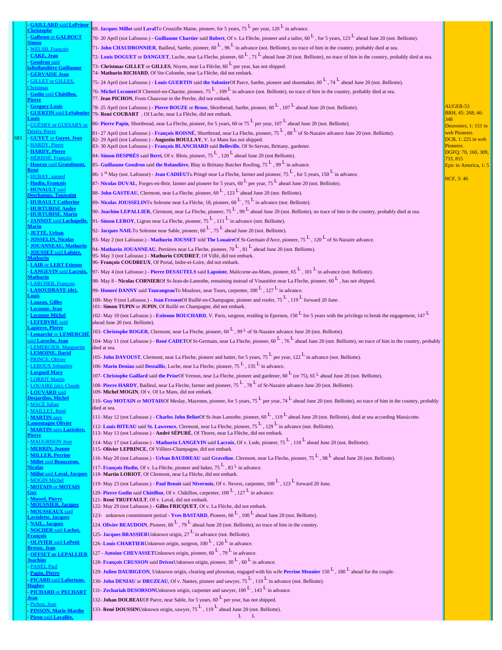| <b>GAILLARD said LePrieur</b>                            | 69. Jacques Millot said LavalTo Crouzille Maine, pioneer, for 5 years, 75 $^L$ per year, 120 $^L$ in advance.                                                                                                                           |                                    |
|----------------------------------------------------------|-----------------------------------------------------------------------------------------------------------------------------------------------------------------------------------------------------------------------------------------|------------------------------------|
| <b>Galbrun or GALBOUT</b>                                | 70- 20 April (not Lafousse.) - Guillaume Chartier said Robert, Of v. La Flèche, pioneer and a tailor, $60^L$ , for 5 years, 123 $^L$ ahead June 20 (not. Belliotte).                                                                    |                                    |
| <u>simon</u><br><b>WELSH, François</b>                   | 71- John CHAUDRONNIER, Bailleul, Sarthe, pioneer, 60 $^L$ , 96 $^L$ in advance (not. Belliotte), no trace of him in the country, probably died at sea.                                                                                  |                                    |
| <b>CAKE</b> , Jean                                       | 72- Louis DOGUET or DANGUET, Luche, near La Fleche, pioneer, $60^L$ , 71 $^L$ ahead June 20 (not. Belliotte), no trace of him in the country, probably died at sea.                                                                     |                                    |
| <b>Gendron</b> said                                      | 73- Christmas GILLET or GILLES, Noven, near La Flèche, $60^{\text{L}}$ per year, has not shipped.                                                                                                                                       |                                    |
| <u>aRollandière Guillaume</u><br><b>GERVAISE</b> Jean    | 74- Mathurin RICHARD, Of Ste-Colombe, near La Flèche, did not embark.                                                                                                                                                                   |                                    |
| <b>GILLET</b> or GILLES.                                 | 75- 24 April (not Lafousse.) - Louis GUERTIN said the SabotierOf Parce, Sarthe, pioneer and shoemaker, $60^L$ , $74^L$ ahead June 20 (not. Belliotte).                                                                                  |                                    |
| Christmas<br>Godin said Châtillon.                       | 76- Michel LecomteOf Chemiré-en-Charnie, pioneer, 75 <sup>L</sup> , 109 <sup>L</sup> in advance (not. Belliotte), no trace of him in the country, probably died at sea.                                                                 |                                    |
| <u>Pierre</u>                                            | 77. Jean PICHON, From Chauvour to the Perche, did not embark.                                                                                                                                                                           |                                    |
| <b>Gregory Louis</b><br><b>GUERTIN</b> said LeSaboti     | 78-25 April (not Lafousse.) - Pierre BOUZE or Bruse, Shortbread, Sarthe, pioneer, $60^L$ , $107^L$ ahead June 20 (not. Belliotte).                                                                                                      | AUGER-53<br>BRH, 45: 268; 46:      |
| <u>ouis</u>                                              | 79- René COUBART, Of Luche, near La Flèche, did not embark.<br>80- Pierre Papin, Shortbread, near La Fleche, pioneer, for 5 years, 60 or $75^{\text{ L}}$ per year, $107^{\text{ L}}$ ahead June 20 (not. Belliotte).                   | 348                                |
| <b>GUESRY or GUESARY of</b>                              |                                                                                                                                                                                                                                         | Desrosiers, 1: 151 in              |
| <u> Dézéry Pierre</u><br><b>GUYET</b> or Guyot, Jean     | 81-27 April (not Lafousse.) - François ROISNÉ, Shortbread, near La Fleche, pioneer, $75^L$ , $88^L$ of St-Nazaire advance June 20 (not. Belliotte).<br>82-29 April (not Lafousse.) - Augustin BOULLAY, V. Le Mans has not shipped.      | web Pioneers<br>DCB, 1: 225 in web |
| <b>HARDY</b> , Pierre                                    | 83-30 April (not Lafousse.) - François BLANCHARD said Belleville, Of St-Servan, Brittany, gardener.                                                                                                                                     | <b>Pioneers</b>                    |
| <b>HARDY</b> , Pierre<br><b>HERISSE, Francois</b>        | 84- Simon DESPRÉS said Berri, Of v. Blois, pioneer, $75^{\text{L}}$ , $120^{\text{L}}$ ahead June 20 (not Belliotte).                                                                                                                   | DGFQ: 70, 160, 309,<br>733, 815    |
| <b>Houray said Grandmont,</b>                            | 85- Guillaume Gendron said the Rolandière, Blay in Brittany Butcher Roofing, $75^L$ , 99 <sup>L</sup> in advance.                                                                                                                       | Epic in America, 1: 5              |
| HUBAY, named                                             | 86-1 <sup>st</sup> May (not. Lafousse) - <b>Jean CADIEUT</b> o Pringé near La Fleche, farmer and pioneer, 75 <sup>L</sup> , for 5 years, 150 <sup>L</sup> in advance.                                                                   |                                    |
|                                                          | 87- Nicolas DUVAL, Forges-en-Brie, farmer and pioneer for 5 years, 60 $^L$ per year, 75 $^L$ ahead June 20 (not. Belliotte).                                                                                                            | HCF, 3:46                          |
|                                                          | 88- John GASTEAU, Clermont, near La Fleche, pioneer, $60^L$ , $123^L$ ahead June 20 (not. Belliotte).                                                                                                                                   |                                    |
| <b>HURAULT Catherine</b>                                 | 89- Nicolas JOUSSELINTo Solesme near La Flèche, 18, pioneer, 60 $^L$ , 75 $^L$ in advance (not. Belliotte).                                                                                                                             |                                    |
|                                                          | 90- Joachim LEPALLIER, Clermont, near La Fleche, pioneer, 75 $^L$ , 99 $^L$ ahead June 20 (not. Belliotte), no trace of him in the country, probably died at sea.                                                                       |                                    |
| <b>JANNOT</b> said Lachanelle.                           | 91- Simon LEROY, Ligron near La Fleche, pioneer, $75^{\text{L}}$ , 111 $^{\text{L}}$ in advance (not. Belliotte).                                                                                                                       |                                    |
| <u>Marin</u>                                             | 92- Jacques NAILTo Solesme near Sable, pioneer, $60^L$ , $75^L$ ahead June 20 (not. Belliotte).                                                                                                                                         |                                    |
| <b>JETTE, Urban</b><br><b>JOSSELIN, Nicolas</b>          | 93- May 2 (not Lafousse.) - Mathurin JOUSSET told The LouaireOf St-Germain d'Arce, pioneer, 75 $^L$ , 120 $^L$ of St-Nazaire advance.                                                                                                   |                                    |
| <b>JOUANNEAU, Mathurin</b>                               | 94- Mathurin JOUANNEAU, Perrières near La Fleche, pioneer, $70^L$ , 81 <sup>L</sup> ahead June 20 (not. Belliotte).                                                                                                                     |                                    |
| <b>JOUSSET</b> said Laloire,<br><u> Aathurin</u>         | 95- May 3 (not Lafousse.) - Mathurin COUDRET, Of Villé, did not embark.                                                                                                                                                                 |                                    |
| <b>LAIR or LERT Etienne</b>                              | 96- François COUDREUX, Of Portal, Indre-et-Loire, did not embark.                                                                                                                                                                       |                                    |
| <b>LANGEVIN</b> said <b>Lacroix</b> ,<br><u>Mathurin</u> | 97- May 4 (not Lafousse.) - Pierre DESAUTELS said Lapointe, Malicorne-au-Mans, pioneer, 65 L, 101 L in advance (not. Belliotte).                                                                                                        |                                    |
| <b>LARCHER, Francois</b>                                 | 98- May 8 - Nicolas CORNIEROf St-Jean-de-Lamothe, remaining instead of Vinautière near La Fleche, pioneer, 60 <sup>L</sup> , has not shipped.                                                                                           |                                    |
| <b>LASOUDRAYE</b> (de),<br>ouis                          | 99- Honoré DANNY said Tourangeau To Mouloux, near Tours, carpenter, $100^{\text{ L}}$ , $127^{\text{ L}}$ in advance.                                                                                                                   |                                    |
| <b>Lauzon</b> , Gilles                                   | 100- May 9 (not Lafousse.) - Jean FresnotOf Ruillé-en-Champagne, pioneer and roofer, 75 <sup>L</sup> , 119 <sup>L</sup> forward 20 June.                                                                                                |                                    |
|                                                          | 101- Simon TUPIN or JUPIN, Of Ruillé en Champagne, did not embark.<br>102-May 10 (not Lafousse.) - Estienne BOUCHARD, V. Paris, surgeon, residing in Epernon, 150 $^L$ for 5 years with the privilege to break the engagement, 147 $^L$ |                                    |
| Lecomte Miche                                            | ahead June 20 (not. Belliotte).                                                                                                                                                                                                         |                                    |
| apierre <u>, Pierre</u>                                  | 103- Christophe ROGER, Clermont, near La Fleche, pioneer, $60^L$ , $99^L$ of St-Nazaire advance June 20 (not. Belliotte).                                                                                                               |                                    |
|                                                          | 104-May 11 (not Lafousse.) - René CADETOf St-Germain, near La Fleche, pioneer, $60^L$ , $76^L$ ahead June 20 (not. Belliotte), no trace of him in the country, probably                                                                 |                                    |
| <u>tuerite</u>                                           | died at sea.                                                                                                                                                                                                                            |                                    |
| <b>OINE, David</b><br><b>PRINCE, Olivier</b>             | 105- John DAVOUST, Clermont, near La Fleche, pioneer and hatter, for 5 years, 75 $^L$ per year, 122 $^L$ in advance (not. Belliotte).                                                                                                   |                                    |
| <b>LEROUX Sebastien</b>                                  | 106- Marin Deniau said Destaillis, Luche, near La Fleche, pioneer, $75^{\text{L}}$ , 135 $^{\text{L}}$ in advance.                                                                                                                      |                                    |
| <u> Lorgueil Mary</u><br><b>LORIOT Martin</b>            | 107- Christophe Gaillard said the PriorOf Vernon, near La Fleche, pioneer and gardener, $60^{\text{ L}}$ (or 75), $65^{\text{ L}}$ ahead June 20 (not. Belliotte).                                                                      |                                    |
| LOUAIRE (de), Claude                                     | 108- Pierre HARDY, Bailleul, near La Fleche, farmer and pioneer, $75^L$ , $78^L$ of St-Nazaire advance June 20 (not. Belliotte).                                                                                                        |                                    |
| <u>LOUVARD said</u><br><b>Desjardins, Michel</b>         | 109- Michel MOGIN, Of v. Of Le Mans, did not embark.                                                                                                                                                                                    |                                    |
| <b>MACÉ</b> Julian                                       | 110- Guy MOTAIN or MOTAISOf Meslay, Mayenne, pioneer, for 5 years, 75 $^L$ per year, 74 $^L$ ahead June 20 (not. Belliotte), no trace of him in the country, probably<br>died at sea.                                                   |                                    |
| <b>MAILLET, René</b><br><b>MARTIN</b> says               | 111- May 12 (not Lafousse.) - Charles John BeliotOf St-Jean Lamothe, pioneer, 60 L, 119 L ahead June 20 (not. Belliotte), died at sea according Massicotte.                                                                             |                                    |
| <b>amontagne Olivier</b>                                 | 112- Louis BITEAU said St. Lawrence, Clermont, near La Fleche, pioneer, $75^{\text{L}}$ , 129 <sup>L</sup> in advance (not. Belliotte).                                                                                                 |                                    |
| <b>MARTIN</b> says Larivière,<br>Pierre                  | 113- May 13 (not Lafousse.) - André SÉPURÉ, Of Thorre, near La Flèche, did not embark.                                                                                                                                                  |                                    |
| <b>MAUGRISON Jean</b>                                    | 114- May 17 (not Lafousse.) - Mathurin LANGEVIN said Lacroix, Of v. Lude, pioneer, 75 <sup>L</sup> , 110 <sup>L</sup> ahead June 20 (not. Belliotte).                                                                                   |                                    |
| <b>MERRIN</b> , Jeanne<br><b>MILLER, Perrine</b>         | 115- Olivier LEPRINCE, Of Villiers-Champagne, did not embark.                                                                                                                                                                           |                                    |
| <b>Millet said Beauceron.</b>                            | 116- May 20 (not Lafousse.) - Urban BAUDREAU said Graveline, Clermont, near La Fleche, pioneer, 75 L, 98 L ahead June 20 (not. Belliotte).                                                                                              |                                    |
| <u>Nicolas</u><br><b>Millot</b> said Laval, Jacques      | 117- François Hudin, Of v. La Flèche, pioneer and baker, $75^{\text{L}}$ , $83^{\text{L}}$ in advance.<br>118- Martin LORIOT, Of Clermont, near La Flèche, did not embark.                                                              |                                    |
| <b>MOGIN Michel</b>                                      | 119- May 23 (not Lafousse.) - Paul Benoit said Nivernois, Of v. Nevers, carpenter, 100 L, 123 L forward 20 June.                                                                                                                        |                                    |
| <b>MOTAIN or MOTAIS</b><br><u>Fuy</u>                    | 120- Pierre Godin said Châtillon, Of v. Châtillon, carpenter, $100^{\text{ L}}$ , $127^{\text{ L}}$ in advance.                                                                                                                         |                                    |
| <b>Mussel, Pierre</b>                                    | 121- René TRUFFAULT, Of v. Laval, did not embark.                                                                                                                                                                                       |                                    |
| <b>MOUSNIER, Jacques</b>                                 | 122- May 29 (not Lafousse.) - Gilles FRICQUET, Of v. La Flèche, did not embark.                                                                                                                                                         |                                    |
| <b>MOUSSEAUX</b> said<br>aviolette, Jacques              | 123- unknown commitment period - <b>Yves BASTARD</b> , Pioneer, 60 <sup>L</sup> , 100 <sup>L</sup> ahead June 20 (not. Belliotte).                                                                                                      |                                    |
| <b>NAIL</b> , Jacques<br><b>NOCHER said Lochet,</b>      | 124. Olivier BEAUDOIN, Pioneer, 60 $^L$ , 79 $^L$ ahead June 20 (not. Belliotte), no trace of him in the country.                                                                                                                       |                                    |
| <u>François</u>                                          | 125- Jacques BRASSIERUnknown origin, 27 <sup>L</sup> in advance (not. Belliotte).                                                                                                                                                       |                                    |
| <b>OLIVIER</b> said LePetit<br><u>Breton, Jean</u>       | 126- Louis CHARTIERUnknown origin, surgeon, $100^{\mathrm{L}}$ , $120^{\mathrm{L}}$ in advance.                                                                                                                                         |                                    |
| <b>OFFSET or LEPALLIER</b>                               | 127 - Antoine CHEVASSETUnknown origin, pioneer, 60 $^L$ , 79 $^L$ in advance.                                                                                                                                                           |                                    |
| <u> Joachim</u><br><b>PANEL Paul</b>                     | 128- François CRUSSON said DriverUnknown origin, pioneer, $30^{\text{L}}$ , $60^{\text{L}}$ in advance.                                                                                                                                 |                                    |
| Papin, Pierre                                            | 129- Julien DAUBIGEON, Unknown origin, clearing and plowman, engaged with his wife Perrine Meunier 150 <sup>L</sup> , 180 <sup>L</sup> ahead for the couple.                                                                            |                                    |
| <b>PICARD</b> said <b>Lafortune</b> ,<br><b>Hughes</b>   | 130- John DENIAU or DRUZEAU, Of v. Nantes, pioneer and sawyer, $75^{\text{L}}$ , 110 <sup>L</sup> in advance (not. Belliotte).                                                                                                          |                                    |
| <b>PICHARD or PECHART</b>                                | 131- Zechariah DESORSONUnknown origin, carpenter and sawyer, $100^{\text{L}}$ , $143^{\text{L}}$ in advance.                                                                                                                            |                                    |
| <u>lean</u><br>Pichon, Jean                              | 132- Johan DOLBEAUOf Parce, near Sable, for 5 years, $60L$ per year, has not shipped.                                                                                                                                                   |                                    |
| <b>PINSON, Marie-Marthe</b>                              | 133- René DOUSSINUnknown origin, sawyer, $75^L$ , $119^L$ ahead June 20 (not. Belliotte).                                                                                                                                               |                                    |
| Piron said Lavallée,                                     | $L \t L$                                                                                                                                                                                                                                |                                    |

683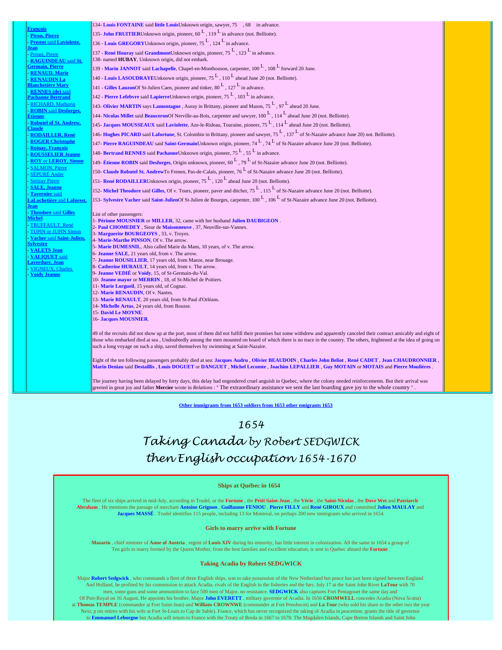| <b>Francois</b>                                    | 134- Louis FONTAINE said little LouisUnknown origin, sawyer, 75 , 68 in advance.                                                                                           |
|----------------------------------------------------|----------------------------------------------------------------------------------------------------------------------------------------------------------------------------|
| Piron, Pierre                                      | 135- John FRUITIERUnknown origin, pioneer, $60^L$ , 119 <sup>L</sup> in advance (not. Belliotte).                                                                          |
| <b>Prestot said Laviolette,</b>                    | 136 - Louis GREGORY Unknown origin, pioneer, $75^{\text{L}}$ , 124 $^{\text{L}}$ in advance.                                                                               |
| Jean<br>Proust, Pierre                             | 137 - René Houray said GrandmontUnknown origin, pioneer, $75^L$ , 123 $^L$ in advance.                                                                                     |
| <b>RAGUINDEAU</b> said St.                         | 138- named HUBAY, Unknown origin, did not embark.                                                                                                                          |
| Germain, Pierre                                    | 139 - Marin JANNOT said Lachapelle, Chapel-en-Monthouson, carpenter, $100^{\text{ L}}$ , $108^{\text{ L}}$ forward 20 June.                                                |
| <b>RENAUD, Marie</b><br><b>RENAUDIN La</b>         | 140 - Louis LASOUDRAYEUnknown origin, pioneer, $75^{\text{L}}$ , $110^{\text{L}}$ ahead June 20 (not. Belliotte).                                                          |
| <u>Blanchetière Marv</u>                           | 141 - Gilles LauzonOf St-Julien Caen, pioneer and tinker, $80^{\text{L}}$ , 127 $^{\text{L}}$ in advance.                                                                  |
| <b>RENNES</b> (de) said                            | 142 - Pierre Lefebvre said LapierreUnknown origin, pioneer, $75^{\text{L}}$ , $103^{\text{L}}$ in advance.                                                                 |
| <u> Pachanne Bertrand</u><br>- RICHARD, Mathurin   | 143- Olivier MARTIN says Lamontagne, Auray in Brittany, pioneer and Mason, $75^L$ , $97^L$ ahead 20 June.                                                                  |
| <b>ROBIN</b> said <b>Desforges</b> .               |                                                                                                                                                                            |
| <u>Étienne</u><br>- Robutel of St. Andrew,         | 144- Nicolas Millet said BeauceronOf Nerville-au-Bois, carpenter and sawyer, $100^{\text{ L}}$ , $114^{\text{ L}}$ ahead June 20 (not. Belliotte).                         |
| <b>Claude</b>                                      | 145- Jacques MOUSSEAUX said Laviolette, Aze-le-Rideau, Touraine, pioneer, $75^{\text{L}}$ , $114^{\text{L}}$ ahead June 20 (not. Belliotte).                               |
| <b>RODAILLER, René</b>                             | 146- Hughes PICARD said Lafortune, St. Colombin in Brittany, pioneer and sawyer, 75 L, 137 L of St-Nazaire advance June 20) not. Belliotte).                               |
| <b>ROGER Christophe</b><br><b>Roinav, Francois</b> | 147- Pierre RAGUINDEAU said Saint-GermainUnknown origin, pioneer, 74 $^L$ , 74 $^L$ of St-Nazaire advance June 20 (not. Belliotte).                                        |
| <b>ROUSSELIER Jeanne</b>                           | 148- Bertrand RENNES said PachanneUnknown origin, pioneer, $75^{\text{ L}}$ , $55^{\text{ L}}$ in advance.                                                                 |
| <b>ROY</b> or <b>LEROY</b> , Simon                 | 149- Étienne ROBIN said Desforges, Origin unknown, pioneer, $60^L$ , $79^L$ of St-Nazaire advance June 20 (not. Belliotte).                                                |
| <b>SALMON</b> , Pierre<br>- <u>SÉPURÉ Andre</u>    | 150- Claude Robutel St. AndrewTo Frenen, Pas-de-Calais, pioneer, 76 L of St-Nazaire advance June 20 (not. Belliotte).                                                      |
| <b>Serizay Pierre</b>                              | 151- René RODAILLERUnknown origin, pioneer, $75^{\text{L}}$ , 120 $^{\text{L}}$ ahead June 20 (not. Belliotte).                                                            |
| <b>SALE, Jeanne</b>                                | 152- Michel Theodore said Gilles, Of v. Tours, pioneer, paver and ditcher, 75 <sup>L</sup> , 115 <sup>L</sup> of St-Nazaire advance June 20 (not. Belliotte).              |
| Tavernier said                                     | 153- Sylvestre Vacher said Saint-JulienOf St-Julien de Bourges, carpenter, 100 <sup>L</sup> , 106 <sup>L</sup> of St-Nazaire advance June 20 (not. Belliotte).             |
| <b>LaLochetière and Laforest</b><br><b>Jean</b>    |                                                                                                                                                                            |
| - Theodore said Gilles                             | List of other passengers:                                                                                                                                                  |
| <b>Michel</b><br>TRUFFAULT, René                   | 1- Périnne MOUSNIER or MILLER, 32, came with her husband Julien DAUBIGEON.                                                                                                 |
| TUPIN or JUPIN Simon                               | 2- Paul CHOMEDEY, Sieur de Maisonneuve, 37, Neuville-sur-Vannes.<br>3- Marguerite BOURGEOYS, 33, v. Troyes.                                                                |
| - Vacher said Saint-Julien                         | 4- Marie-Marthe PINSON, Of v. The arrow.                                                                                                                                   |
| <b>Sylvestre</b><br><b>VALETS Jean</b>             | 5- Marie DUMESNIL, Also called Marie du Mans, 10 years, of v. The arrow.                                                                                                   |
| <b>VALIOUET</b> said                               | 6- Jeanne SALE, 21 years old, from v. The arrow.                                                                                                                           |
| <u>Laverdure, Jean</u>                             | 7- Jeanne ROUSILLIER, 17 years old, from Maeze, near Brouage.<br>8- Catherine HURAULT, 14 years old, from v. The arrow.                                                    |
| <b>VIGNEUX, Charles</b><br>Voidy Jeanne            | 9- Jeanne VEDIÉ or Voidy, 15, of St-Germain-du-Val.                                                                                                                        |
|                                                    | 10- Jeanne mayor or MERRIN, 18, of St-Michel de Poitiers.                                                                                                                  |
|                                                    | 11- Marie Lorgueil, 15 years old, of Cognac.<br>12- Marie RENAUDIN, Of v. Nantes.                                                                                          |
|                                                    | 13- Marie RENAULT, 20 years old, from St-Paul d'Orléans.                                                                                                                   |
|                                                    | 14- Michelle Artus, 24 years old, from Bousse.                                                                                                                             |
|                                                    | 15-David Le MOYNE.                                                                                                                                                         |
|                                                    | 16- Jacques MOUSNIER.                                                                                                                                                      |
|                                                    | 49 of the recruits did not show up at the port, most of them did not fulfill their promises but some withdrew and apparently canceled their contract amicably and eight of |
|                                                    | those who embarked died at sea, Undoubtedly among the men mounted on board of which there is no trace in the country. The others, frightened at the idea of going on       |
|                                                    | such a long voyage on such a ship, saved themselves by swimming at Saint-Nazaire.                                                                                          |
|                                                    | Eight of the ten following passengers probably died at sea: Jacques Audru, Olivier BEAUDOIN, Charles John Beliot, René CADET, Jean CHAUDRONNIER,                           |
|                                                    | Marin Deniau said Destaillis, Louis DOGUET or DANGUET, Michel Lecomte, Joachim LEPALLIER, Guy MOTAIN or MOTAIS and Pierre Moulières.                                       |
|                                                    |                                                                                                                                                                            |
|                                                    | The journey having been delayed by forty days, this delay had engendered cruel anguish in Quebec, where the colony needed reinforcements. But their arrival was            |
|                                                    | greeted in great joy and father Mercier wrote in <i>Relations</i> : "The extraordinary assistance we sent the last boarding gave joy to the whole country ".               |

 **[Other immigrants from 1653](http://naviresnouvellefrance.net/html/vaisseaux2/immigrants/immigrants1653.html#retourimmigrants1653) [soldiers from 1653](http://naviresnouvellefrance.net/html/vaisseaux2/soldats/soldats1653.html#soldats1653) [other emigrants 1653](http://naviresnouvellefrance.net/html/vaisseaux2/emigrants/emigrants1653.html#emigrants1653)**

*1654*

# *Taking Canada by Robert SEDGWICK then English occupation 1654-1670*

### **Ships at Québec in 1654**

The fleet of six ships arrived in mid-July, according to Trudel, or the **Fortune** , the **Petit Saint-Jean** , the **Vérie** , the **Saint-Nicolas** , the **Dove Wet** and **Patriarch** Abraham . He mentions the passage of merchant Antoine Grignon , Guillaume FENIOU , Pierre FILLY and René GIROUX and committed Julien MAULAY and<br>Jacques MASSÉ . Trudel identifies 115 people, including 13 for Montreal, on pe

### **Girls to marry arrive with Fortune**

Mazarin, chief minister of Anne of Austria, regent of Louis XIV during his minority, has little interest in colonization. All the same in 1654 a group of<br>Ten girls to marry formed by the Queen Mother, from the best familie

### **Taking Acadia by Robert SEDGWICK**

Major **Robert Sedgwick** , who commands a fleet of three English ships, was to take possession of the New Netherland but peace has just been signed between England And Holland, he profited by his commission to attack Acadia, rivals of the English in the fisheries and the furs. July 17 at the Saint John River **LaTour** with 70 men, some guns and some ammunition to face 500 men of Major, no resistance. **SEDGWICK** also captures Fort Pentagouet the same day and Of Port-Royal on 16 August. He appoints his brother, Major **John EVERETT** , military governor of Acadia. In 1656 **CROMWELL** concedes Acadia (Nova Scotia) at **Thomas TEMPLE** (commander at Fort Saint-Jean) and **William CROWNWE** (commander at Fort Penobscot) and **La Tour** (who sold his share to the other two the year Next, p uis retires with his wife at Fort St-Louis to Cap de Sable). France, which has never recognized the taking of Acadia in peacetime, grants the title of governor to **Emmanuel Leborgne** but Acadia will return to France with the Treaty of Breda in 1667 to 1670. The Magdalen Islands, Cape Breton Islands and Saint John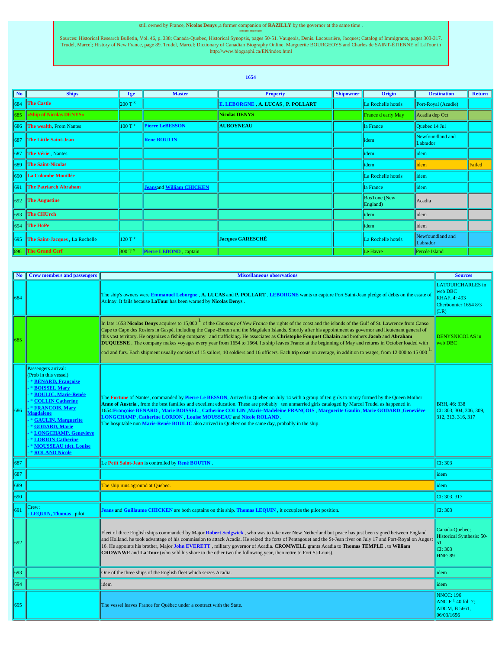### still owned by France, **Nicolas Denys** ,a former companion of **RAZILLY** by the governor at the same time .

Xources: Historical Research Bulletin, Vol. 46, p. 338; Canada-Quebec, Historical Synopsis, pages 50-51. Vaugeois, Denis. Lacoursière, Jacques; Catalog of Immigrants, pages 303-317.<br>Trudel, Marcel; History of New France, p

## **1654**

| <b>No</b>     | <b>Ships</b>                   | Tge               | <b>Master</b>                   | <b>Property</b>                   | <b>Shipowner</b> | Origin                          | <b>Destination</b>           | <b>Return</b> |
|---------------|--------------------------------|-------------------|---------------------------------|-----------------------------------|------------------|---------------------------------|------------------------------|---------------|
| $ 684\rangle$ | <b>The Castle</b>              | $200T^x$          |                                 | E. LEBORGNE, A. LUCAS, P. POLLART |                  | La Rochelle hotels              | Port-Royal (Acadie)          |               |
| 685.          | «Ship of Nicolas DENYS»        |                   |                                 | Nicolas DENYS                     |                  | France d early May              | Acadia dep Oct               |               |
|               | 686 The wealth, From Nantes    | $100T^x$          | <b>Pierre LeBESSON</b>          | <b>AUBOYNEAU</b>                  |                  | la France                       | Ouebec 14 Jul                |               |
| 687           | <b>The Little Saint-Jean</b>   |                   | <b>Rene BOUTIN</b>              |                                   |                  | <i>dem</i>                      | Newfoundland and<br>Labrador |               |
| 1687          | The Vérie Nantes               |                   |                                 |                                   |                  | <i>dem</i>                      | idem                         |               |
| 689           | <b>The Saint-Nicolas</b>       |                   |                                 |                                   |                  | <i>dem</i>                      | lidem                        | Failed        |
| 1690          | La Colombe Mouillée            |                   |                                 |                                   |                  | La Rochelle hotels              | lidem                        |               |
| 1691          | <b>The Patriarch Abraham</b>   |                   | <b>Jeansand William CHICKEN</b> |                                   |                  | la France                       | lidem                        |               |
| 1692          | <b>The Augustine</b>           |                   |                                 |                                   |                  | <b>BosTone</b> (New<br>England) | Acadia                       |               |
| 1693          | <b>The CHUrch</b>              |                   |                                 |                                   |                  | idem                            | lidem                        |               |
| 1694          | The HoPe                       |                   |                                 |                                   |                  | idem                            | lidem                        |               |
| 695           | The Saint-Jacques, La Rochelle | 120T <sup>x</sup> |                                 | <b>Jacques GARESCHÉ</b>           |                  | La Rochelle hotels              | Newfoundland and<br>Labrador |               |
| 696           | <b>The Grand Cerf</b>          | 300T <sup>x</sup> | Pierre LEBOND, captain          |                                   |                  | Le Havre                        | Percée Island                |               |

| No. | <b>Crew members and passengers</b>                                                                                                                                                                                                                                                                                                                         | <b>Miscellaneous observations</b>                                                                                                                                                                                                                                                                                                                                                                                                                                                                                                                                                                                                                                                                                                                                                                                          | <b>Sources</b>                                                                         |
|-----|------------------------------------------------------------------------------------------------------------------------------------------------------------------------------------------------------------------------------------------------------------------------------------------------------------------------------------------------------------|----------------------------------------------------------------------------------------------------------------------------------------------------------------------------------------------------------------------------------------------------------------------------------------------------------------------------------------------------------------------------------------------------------------------------------------------------------------------------------------------------------------------------------------------------------------------------------------------------------------------------------------------------------------------------------------------------------------------------------------------------------------------------------------------------------------------------|----------------------------------------------------------------------------------------|
| 684 |                                                                                                                                                                                                                                                                                                                                                            | The ship's owners were Emmanuel Leborgne, A. LUCAS and P. POLLART. LEBORGNE wants to capture Fort Saint-Jean pledge of debts on the estate of<br>Aulnay. It fails because LaTour has been warned by Nicolas Denys                                                                                                                                                                                                                                                                                                                                                                                                                                                                                                                                                                                                          | <b>LATOURCHARLES</b> in<br>web DBC<br>RHAF, 4: 493<br>Cherbonnier 1654 8/3<br>(LR)     |
| 685 |                                                                                                                                                                                                                                                                                                                                                            | In late 1653 Nicolas Denys acquires to 15,000 $^{\circ}$ of the <i>Company of New France</i> the rights of the coast and the islands of the Gulf of St. Lawrence from Canso<br>Cape to Cape des Rosiers in Gaspé, including the Cape -Breton and the Magdalen Islands. Shortly after his appointment as governor and lieutenant general of<br>this vast territory. He organizes a fishing company and trafficking. He associates as Christophe Fouquet Chalain and brothers Jacob and Abraham<br>DUQUESNE. The company makes voyages every year from 1654 to 1664. Its ship leaves France at the beginning of May and returns in October loaded with<br>cod and furs. Each shipment usually consists of 15 sailors, 10 soldiers and 16 officers. Each trip costs on average, in addition to wages, from 12 000 to 15 000 L | DENYSNICOLAS in<br>web DBC                                                             |
| 686 | Passengers arrival:<br>(Prob in this vessel)<br>* BÉNARD, Françoise<br><b>BOISSEL Mary</b><br><b>BOULIC, Marie-Renée</b><br><b>COLLIN Catherine</b><br><b>* FRANCOIS, Mary</b><br><b>Magdalene</b><br>* GAULIN, Marguerite<br>* GODARD, Marie<br><b>* LONGCHAMP, Genevieve</b><br><b>LORION Catherine</b><br>MOUSSEAU (de), Louise<br><b>ROLAND Nicole</b> | The Fortune of Nantes, commanded by Pierre Le BESSON, Arrived in Quebec on July 14 with a group of ten girls to marry formed by the Queen Mother<br>Anne of Austria, from the best families and excellent education. These are probably ten unmarried girls cataloged by Marcel Trudel as happened in<br>1654: Françoise BENARD, Marie BOISSEL, Catherine COLLIN, Marie-Madeleine FRANCOIS, Marguerite Gaulin, Marie GODARD, Geneviève<br>LONGCHAMP Catherine LORION Louise MOUSSEAU and Nicole ROLAND.<br>The hospitable nun Marie-Renée BOULIC also arrived in Quebec on the same day, probably in the ship.                                                                                                                                                                                                             | <b>BRH. 46: 338</b><br>CI: 303, 304, 306, 309,<br>312, 313, 316, 317                   |
| 687 |                                                                                                                                                                                                                                                                                                                                                            | Le Petit Saint-Jean is controlled by René BOUTIN.                                                                                                                                                                                                                                                                                                                                                                                                                                                                                                                                                                                                                                                                                                                                                                          | CI: 303                                                                                |
| 687 |                                                                                                                                                                                                                                                                                                                                                            |                                                                                                                                                                                                                                                                                                                                                                                                                                                                                                                                                                                                                                                                                                                                                                                                                            | idem                                                                                   |
| 689 |                                                                                                                                                                                                                                                                                                                                                            | The ship runs aground at Quebec.                                                                                                                                                                                                                                                                                                                                                                                                                                                                                                                                                                                                                                                                                                                                                                                           | idem                                                                                   |
| 690 |                                                                                                                                                                                                                                                                                                                                                            |                                                                                                                                                                                                                                                                                                                                                                                                                                                                                                                                                                                                                                                                                                                                                                                                                            | CI: 303, 317                                                                           |
|     | Crew:<br>LEQUIN, Thomas, pilot                                                                                                                                                                                                                                                                                                                             | Jeans and Guillaume CHICKEN are both captains on this ship. Thomas LEQUIN, it occupies the pilot position.                                                                                                                                                                                                                                                                                                                                                                                                                                                                                                                                                                                                                                                                                                                 | CI: 303                                                                                |
| 692 |                                                                                                                                                                                                                                                                                                                                                            | Fleet of three English ships commanded by Major Robert Sedgwick, who was to take over New Netherland but peace has just been signed between England<br>and Holland, he took advantage of his commission to attack Acadia. He seized the forts of Pentagouet and the St-Jean river on July 17 and Port-Royal on August<br>16. He appoints his brother, Major John EVERETT, military governor of Acadia. CROMWELL grants Acadia to Thomas TEMPLE, to William<br><b>CROWNWE</b> and La Tour (who sold his share to the other two the following year, then retire to Fort St-Louis).                                                                                                                                                                                                                                           | Canada-Quebec;<br><b>Historical Synthesis: 50-</b><br>51.<br>CI: 303<br><b>HNF: 89</b> |
| 693 |                                                                                                                                                                                                                                                                                                                                                            | One of the three ships of the English fleet which seizes Acadia.                                                                                                                                                                                                                                                                                                                                                                                                                                                                                                                                                                                                                                                                                                                                                           | idem                                                                                   |
| 694 |                                                                                                                                                                                                                                                                                                                                                            | idem                                                                                                                                                                                                                                                                                                                                                                                                                                                                                                                                                                                                                                                                                                                                                                                                                       | idem                                                                                   |
| 695 |                                                                                                                                                                                                                                                                                                                                                            | The vessel leaves France for Québec under a contract with the State.                                                                                                                                                                                                                                                                                                                                                                                                                                                                                                                                                                                                                                                                                                                                                       | <b>NNCC: 196</b><br>ANC $F1$ 40 fol. 7:<br>ADCM, B 5661,<br>06/03/1656                 |